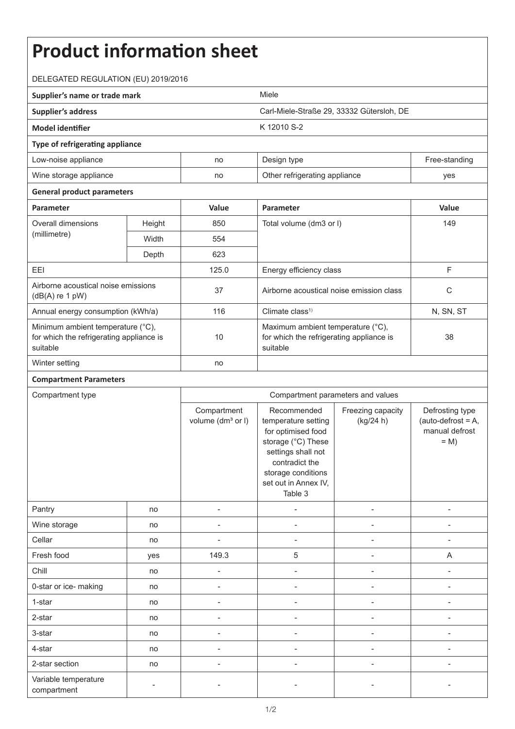## **Product information sheet** DELEGATED REGULATION (EU) 2019/2016 **Supplier's name or trade mark** Miele **Supplier's address** Carl-Miele-Straße 29, 33332 Gütersloh, DE **Model identifier** K 12010 S-2 **Type of refrigerating appliance** Low-noise appliance and the no Design type no Design type Free-standing Wine storage appliance and no Other refrigerating appliance yes **General product parameters Parameter Value Parameter Value** Overall dimensions (millimetre) Height 850 Total volume (dm3 or l) 149 Width **554** Depth 623 EEI 125.0 Energy efficiency class F Airborne acoustical noise emissions Airborne acoustical noise emissions<br>(dB(A) re 1 pW) 37 (dB(A) re 1 pW) Annual energy consumption (kWh/a)  $\vert$  116  $\vert$  Climate class<sup>1)</sup> Climate consumption (kWh/a)  $\vert$  N, SN, ST Minimum ambient temperature (°C), for which the refrigerating appliance is suitable 10 Maximum ambient temperature (°C), for which the refrigerating appliance is suitable 38 Winter setting no **Compartment Parameters** Compartment type Compartment parameters and values **Compartment** volume (dm<sup>3</sup> or I) Recommended temperature setting for optimised food storage (°C) These settings shall not contradict the storage conditions set out in Annex IV, Table 3 Freezing capacity (kg/24 h) Defrosting type  $(auto-defrost = A,$ manual defrost  $= M$ Pantry | no | - | - | - | -Wine storage no - - - - Cellar | no | - - | - - | - | -Fresh food | yes | 149.3 | 5 | - A Chill | no | - | - | - | -0-star or ice- making and no and no and no  $\overline{a}$  and  $\overline{a}$  are no  $\overline{a}$  and  $\overline{a}$  are no  $\overline{a}$  and  $\overline{a}$  are no  $\overline{a}$  are no  $\overline{a}$  and  $\overline{a}$  are no  $\overline{a}$  are no  $\overline{a}$  and  $\overline{a}$  are no  $\$ 1-star | no | - - | - - | - - | - -2-star | no | - | - | - | -3-star | no | - | - | - | -4-star | no | - | - | - | -2-star section no - - - - Variable temperature compartment and the state of the state of the state of the state of the state of the state of the state of the<br>compartment